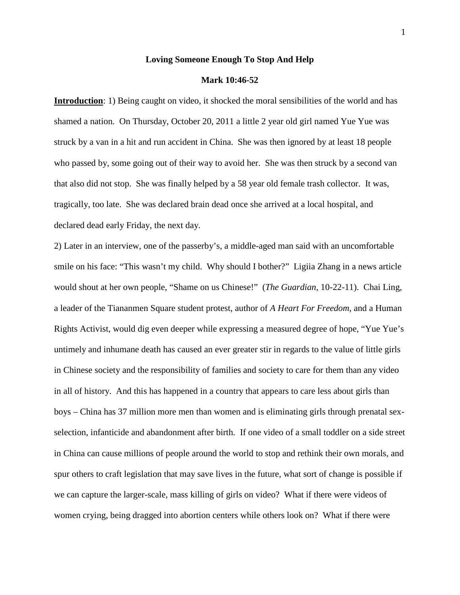### **Loving Someone Enough To Stop And Help**

### **Mark 10:46-52**

**Introduction**: 1) Being caught on video, it shocked the moral sensibilities of the world and has shamed a nation. On Thursday, October 20, 2011 a little 2 year old girl named Yue Yue was struck by a van in a hit and run accident in China. She was then ignored by at least 18 people who passed by, some going out of their way to avoid her. She was then struck by a second van that also did not stop. She was finally helped by a 58 year old female trash collector. It was, tragically, too late. She was declared brain dead once she arrived at a local hospital, and declared dead early Friday, the next day.

2) Later in an interview, one of the passerby's, a middle-aged man said with an uncomfortable smile on his face: "This wasn't my child. Why should I bother?" Ligiia Zhang in a news article would shout at her own people, "Shame on us Chinese!" (*The Guardian*, 10-22-11). Chai Ling, a leader of the Tiananmen Square student protest, author of *A Heart For Freedom*, and a Human Rights Activist, would dig even deeper while expressing a measured degree of hope, "Yue Yue's untimely and inhumane death has caused an ever greater stir in regards to the value of little girls in Chinese society and the responsibility of families and society to care for them than any video in all of history. And this has happened in a country that appears to care less about girls than boys – China has 37 million more men than women and is eliminating girls through prenatal sexselection, infanticide and abandonment after birth. If one video of a small toddler on a side street in China can cause millions of people around the world to stop and rethink their own morals, and spur others to craft legislation that may save lives in the future, what sort of change is possible if we can capture the larger-scale, mass killing of girls on video? What if there were videos of women crying, being dragged into abortion centers while others look on? What if there were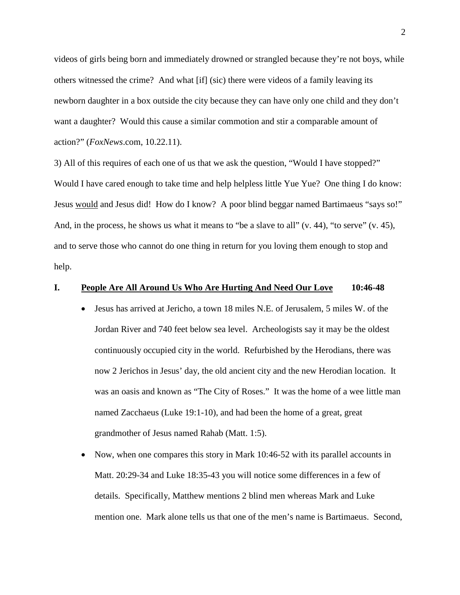videos of girls being born and immediately drowned or strangled because they're not boys, while others witnessed the crime? And what [if] (sic) there were videos of a family leaving its newborn daughter in a box outside the city because they can have only one child and they don't want a daughter? Would this cause a similar commotion and stir a comparable amount of action?" (*FoxNews*.com, 10.22.11).

3) All of this requires of each one of us that we ask the question, "Would I have stopped?" Would I have cared enough to take time and help helpless little Yue Yue? One thing I do know: Jesus would and Jesus did! How do I know? A poor blind beggar named Bartimaeus "says so!" And, in the process, he shows us what it means to "be a slave to all"  $(v. 44)$ , "to serve"  $(v. 45)$ , and to serve those who cannot do one thing in return for you loving them enough to stop and help.

### **I. People Are All Around Us Who Are Hurting And Need Our Love 10:46-48**

- Jesus has arrived at Jericho, a town 18 miles N.E. of Jerusalem, 5 miles W. of the Jordan River and 740 feet below sea level. Archeologists say it may be the oldest continuously occupied city in the world. Refurbished by the Herodians, there was now 2 Jerichos in Jesus' day, the old ancient city and the new Herodian location. It was an oasis and known as "The City of Roses." It was the home of a wee little man named Zacchaeus (Luke 19:1-10), and had been the home of a great, great grandmother of Jesus named Rahab (Matt. 1:5).
- Now, when one compares this story in Mark 10:46-52 with its parallel accounts in Matt. 20:29-34 and Luke 18:35-43 you will notice some differences in a few of details. Specifically, Matthew mentions 2 blind men whereas Mark and Luke mention one. Mark alone tells us that one of the men's name is Bartimaeus. Second,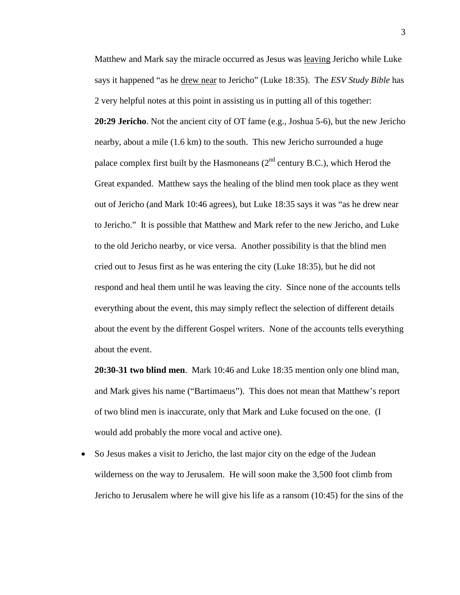Matthew and Mark say the miracle occurred as Jesus was leaving Jericho while Luke says it happened "as he drew near to Jericho" (Luke 18:35). The *ESV Study Bible* has 2 very helpful notes at this point in assisting us in putting all of this together: **20:29 Jericho**. Not the ancient city of OT fame (e.g., Joshua 5-6), but the new Jericho nearby, about a mile (1.6 km) to the south. This new Jericho surrounded a huge palace complex first built by the Hasmoneans  $(2^{nd}$  century B.C.), which Herod the Great expanded. Matthew says the healing of the blind men took place as they went out of Jericho (and Mark 10:46 agrees), but Luke 18:35 says it was "as he drew near to Jericho." It is possible that Matthew and Mark refer to the new Jericho, and Luke to the old Jericho nearby, or vice versa. Another possibility is that the blind men cried out to Jesus first as he was entering the city (Luke 18:35), but he did not respond and heal them until he was leaving the city. Since none of the accounts tells everything about the event, this may simply reflect the selection of different details about the event by the different Gospel writers. None of the accounts tells everything about the event.

**20:30-31 two blind men**. Mark 10:46 and Luke 18:35 mention only one blind man, and Mark gives his name ("Bartimaeus"). This does not mean that Matthew's report of two blind men is inaccurate, only that Mark and Luke focused on the one. (I would add probably the more vocal and active one).

• So Jesus makes a visit to Jericho, the last major city on the edge of the Judean wilderness on the way to Jerusalem. He will soon make the 3,500 foot climb from Jericho to Jerusalem where he will give his life as a ransom (10:45) for the sins of the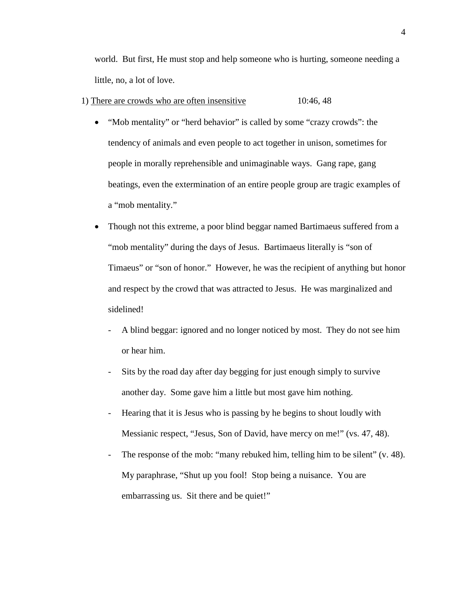world. But first, He must stop and help someone who is hurting, someone needing a little, no, a lot of love.

- 1) There are crowds who are often insensitive 10:46, 48
	- "Mob mentality" or "herd behavior" is called by some "crazy crowds": the tendency of animals and even people to act together in unison, sometimes for people in morally reprehensible and unimaginable ways. Gang rape, gang beatings, even the extermination of an entire people group are tragic examples of a "mob mentality."
	- Though not this extreme, a poor blind beggar named Bartimaeus suffered from a "mob mentality" during the days of Jesus. Bartimaeus literally is "son of Timaeus" or "son of honor." However, he was the recipient of anything but honor and respect by the crowd that was attracted to Jesus. He was marginalized and sidelined!
		- A blind beggar: ignored and no longer noticed by most. They do not see him or hear him.
		- Sits by the road day after day begging for just enough simply to survive another day. Some gave him a little but most gave him nothing.
		- Hearing that it is Jesus who is passing by he begins to shout loudly with Messianic respect, "Jesus, Son of David, have mercy on me!" (vs. 47, 48).
		- The response of the mob: "many rebuked him, telling him to be silent" (v. 48). My paraphrase, "Shut up you fool! Stop being a nuisance. You are embarrassing us. Sit there and be quiet!"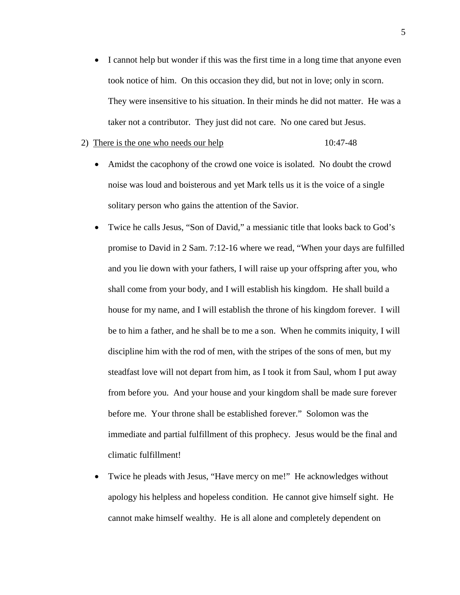• I cannot help but wonder if this was the first time in a long time that anyone even took notice of him. On this occasion they did, but not in love; only in scorn. They were insensitive to his situation. In their minds he did not matter. He was a taker not a contributor. They just did not care. No one cared but Jesus.

#### 2) There is the one who needs our help 10:47-48

- Amidst the cacophony of the crowd one voice is isolated. No doubt the crowd noise was loud and boisterous and yet Mark tells us it is the voice of a single solitary person who gains the attention of the Savior.
- Twice he calls Jesus, "Son of David," a messianic title that looks back to God's promise to David in 2 Sam. 7:12-16 where we read, "When your days are fulfilled and you lie down with your fathers, I will raise up your offspring after you, who shall come from your body, and I will establish his kingdom. He shall build a house for my name, and I will establish the throne of his kingdom forever. I will be to him a father, and he shall be to me a son. When he commits iniquity, I will discipline him with the rod of men, with the stripes of the sons of men, but my steadfast love will not depart from him, as I took it from Saul, whom I put away from before you. And your house and your kingdom shall be made sure forever before me. Your throne shall be established forever." Solomon was the immediate and partial fulfillment of this prophecy. Jesus would be the final and climatic fulfillment!
- Twice he pleads with Jesus, "Have mercy on me!" He acknowledges without apology his helpless and hopeless condition. He cannot give himself sight. He cannot make himself wealthy. He is all alone and completely dependent on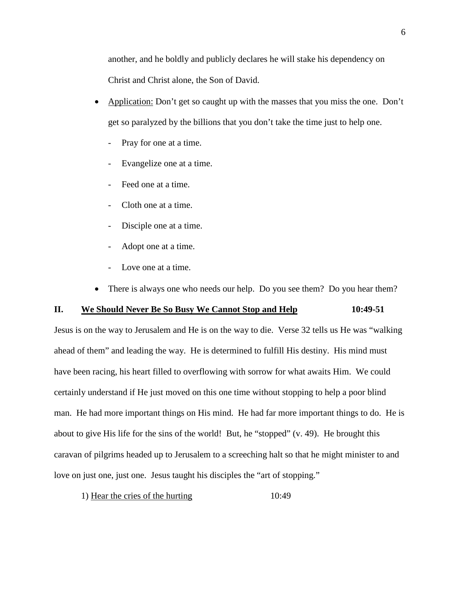another, and he boldly and publicly declares he will stake his dependency on Christ and Christ alone, the Son of David.

- Application: Don't get so caught up with the masses that you miss the one. Don't get so paralyzed by the billions that you don't take the time just to help one.
	- Pray for one at a time.
	- Evangelize one at a time.
	- Feed one at a time.
	- Cloth one at a time.
	- Disciple one at a time.
	- Adopt one at a time.
	- Love one at a time.
- There is always one who needs our help. Do you see them? Do you hear them?

# **II. We Should Never Be So Busy We Cannot Stop and Help 10:49-51**

Jesus is on the way to Jerusalem and He is on the way to die. Verse 32 tells us He was "walking ahead of them" and leading the way. He is determined to fulfill His destiny. His mind must have been racing, his heart filled to overflowing with sorrow for what awaits Him. We could certainly understand if He just moved on this one time without stopping to help a poor blind man. He had more important things on His mind. He had far more important things to do. He is about to give His life for the sins of the world! But, he "stopped" (v. 49). He brought this caravan of pilgrims headed up to Jerusalem to a screeching halt so that he might minister to and love on just one, just one. Jesus taught his disciples the "art of stopping."

1) Hear the cries of the hurting 10:49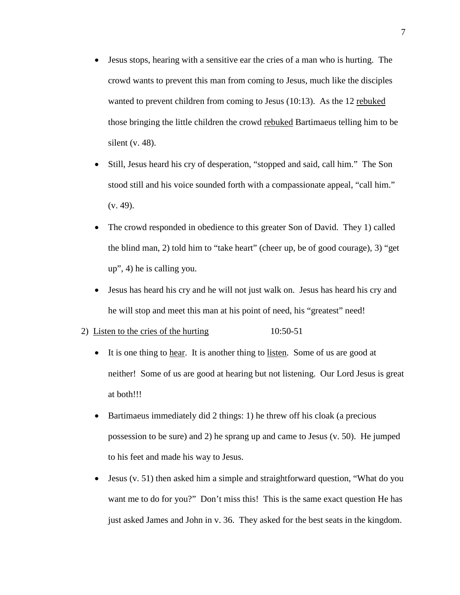- Jesus stops, hearing with a sensitive ear the cries of a man who is hurting. The crowd wants to prevent this man from coming to Jesus, much like the disciples wanted to prevent children from coming to Jesus (10:13). As the 12 rebuked those bringing the little children the crowd rebuked Bartimaeus telling him to be silent  $(v. 48)$ .
- Still, Jesus heard his cry of desperation, "stopped and said, call him." The Son stood still and his voice sounded forth with a compassionate appeal, "call him."  $(v. 49)$ .
- The crowd responded in obedience to this greater Son of David. They 1) called the blind man, 2) told him to "take heart" (cheer up, be of good courage), 3) "get up", 4) he is calling you.
- Jesus has heard his cry and he will not just walk on. Jesus has heard his cry and he will stop and meet this man at his point of need, his "greatest" need!

## 2) Listen to the cries of the hurting 10:50-51

- It is one thing to hear. It is another thing to listen. Some of us are good at neither! Some of us are good at hearing but not listening. Our Lord Jesus is great at both!!!
- Bartimaeus immediately did 2 things: 1) he threw off his cloak (a precious possession to be sure) and 2) he sprang up and came to Jesus (v. 50). He jumped to his feet and made his way to Jesus.
- Jesus (v. 51) then asked him a simple and straightforward question, "What do you want me to do for you?" Don't miss this! This is the same exact question He has just asked James and John in v. 36. They asked for the best seats in the kingdom.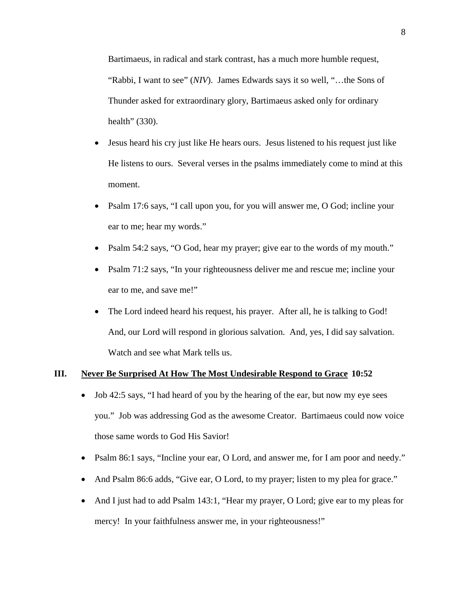Bartimaeus, in radical and stark contrast, has a much more humble request, "Rabbi, I want to see" (*NIV*). James Edwards says it so well, "...the Sons of Thunder asked for extraordinary glory, Bartimaeus asked only for ordinary health" (330).

- Jesus heard his cry just like He hears ours. Jesus listened to his request just like He listens to ours. Several verses in the psalms immediately come to mind at this moment.
- Psalm 17:6 says, "I call upon you, for you will answer me, O God; incline your ear to me; hear my words."
- Psalm 54:2 says, "O God, hear my prayer; give ear to the words of my mouth."
- Psalm 71:2 says, "In your righteousness deliver me and rescue me; incline your ear to me, and save me!"
- The Lord indeed heard his request, his prayer. After all, he is talking to God! And, our Lord will respond in glorious salvation. And, yes, I did say salvation. Watch and see what Mark tells us.

## **III. Never Be Surprised At How The Most Undesirable Respond to Grace 10:52**

- Job 42:5 says, "I had heard of you by the hearing of the ear, but now my eye sees you." Job was addressing God as the awesome Creator. Bartimaeus could now voice those same words to God His Savior!
- Psalm 86:1 says, "Incline your ear, O Lord, and answer me, for I am poor and needy."
- And Psalm 86:6 adds, "Give ear, O Lord, to my prayer; listen to my plea for grace."
- And I just had to add Psalm 143:1, "Hear my prayer, O Lord; give ear to my pleas for mercy! In your faithfulness answer me, in your righteousness!"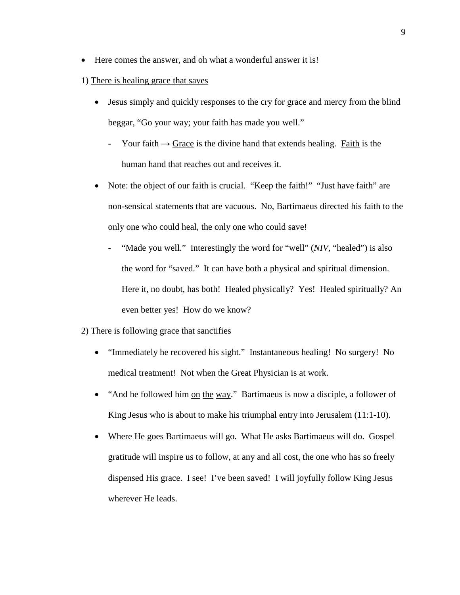• Here comes the answer, and oh what a wonderful answer it is!

## 1) There is healing grace that saves

- Jesus simply and quickly responses to the cry for grace and mercy from the blind beggar, "Go your way; your faith has made you well."
	- Your faith  $\rightarrow$  Grace is the divine hand that extends healing. Faith is the human hand that reaches out and receives it.
- Note: the object of our faith is crucial. "Keep the faith!" "Just have faith" are non-sensical statements that are vacuous. No, Bartimaeus directed his faith to the only one who could heal, the only one who could save!
	- "Made you well." Interestingly the word for "well" (*NIV*, "healed") is also the word for "saved." It can have both a physical and spiritual dimension. Here it, no doubt, has both! Healed physically? Yes! Healed spiritually? An even better yes! How do we know?

## 2) There is following grace that sanctifies

- "Immediately he recovered his sight." Instantaneous healing! No surgery! No medical treatment! Not when the Great Physician is at work.
- "And he followed him on the way." Bartimaeus is now a disciple, a follower of King Jesus who is about to make his triumphal entry into Jerusalem (11:1-10).
- Where He goes Bartimaeus will go. What He asks Bartimaeus will do. Gospel gratitude will inspire us to follow, at any and all cost, the one who has so freely dispensed His grace. I see! I've been saved! I will joyfully follow King Jesus wherever He leads.